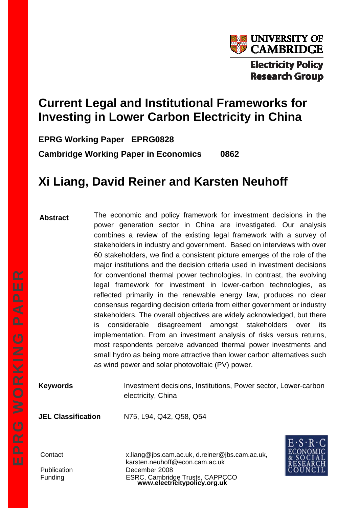

# **Current Legal and Institutional Frameworks for Investing in Lower Carbon Electricity in China**

**EPRG Working Paper EPRG0828** 

**Cambridge Working Paper in Economics 0862** 

# **Xi Liang, David Reiner and Karsten Neuhoff**

The economic and policy framework for investment decisions in the power generation sector in China are investigated. Our analysis combines a review of the existing legal framework with a survey of stakeholders in industry and government. Based on interviews with over 60 stakeholders, we find a consistent picture emerges of the role of the major institutions and the decision criteria used in investment decisions for conventional thermal power technologies. In contrast, the evolving legal framework for investment in lower-carbon technologies, as reflected primarily in the renewable energy law, produces no clear consensus regarding decision criteria from either government or industry stakeholders. The overall objectives are widely acknowledged, but there is considerable disagreement amongst stakeholders over its implementation. From an investment analysis of risks versus returns, most respondents perceive advanced thermal power investments and small hydro as being more attractive than lower carbon alternatives such as wind power and solar photovoltaic (PV) power. **Abstract** 

**Keywords Investment decisions, Institutions, Power sector, Lower-carbon** electricity, China

**JEL Classification** N75, L94, Q42, Q58, Q54

**www.electricitypolicy.org.uk**  Contact x.liang@jbs.cam.ac.uk, d.reiner@jbs.cam.ac.uk, karsten.neuhoff@econ.cam.ac.uk Publication December 2008 Funding ESRC, Cambridge Trusts, CAPPCCO

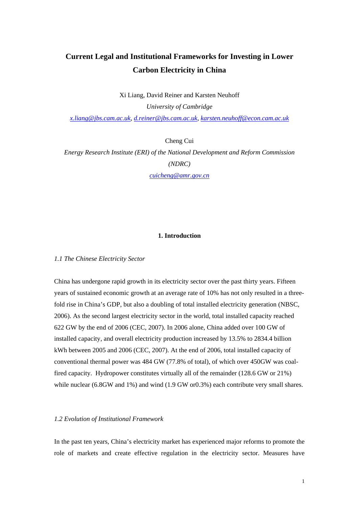# **Current Legal and Institutional Frameworks for Investing in Lower Carbon Electricity in China**

Xi Liang, David Reiner and Karsten Neuhoff

*University of Cambridge [x.liang@jbs.cam.ac.uk,](mailto:x.liang@jbs.cam.ac.uk) [d.reiner@jbs.cam.ac.uk](mailto:d.reiner@jbs.cam.ac.uk), [karsten.neuhoff@econ.cam.ac.uk](mailto:karsten.neuhoff@econ.cam.ac.uk)*

Cheng Cui

*Energy Research Institute (ERI) of the National Development and Reform Commission (NDRC)* 

*[cuicheng@amr.gov.cn](mailto:cuicheng@amr.gov.cn)*

# **1. Introduction**

*1.1 The Chinese Electricity Sector* 

China has undergone rapid growth in its electricity sector over the past thirty years. Fifteen years of sustained economic growth at an average rate of 10% has not only resulted in a threefold rise in China's GDP, but also a doubling of total installed electricity generation (NBSC, 2006). As the second largest electricity sector in the world, total installed capacity reached 622 GW by the end of 2006 (CEC, 2007). In 2006 alone, China added over 100 GW of installed capacity, and overall electricity production increased by 13.5% to 2834.4 billion kWh between 2005 and 2006 (CEC, 2007). At the end of 2006, total installed capacity of conventional thermal power was 484 GW (77.8% of total), of which over 450GW was coalfired capacity. Hydropower constitutes virtually all of the remainder (128.6 GW or 21%) while nuclear (6.8GW and 1%) and wind (1.9 GW or0.3%) each contribute very small shares.

# *1.2 Evolution of Institutional Framework*

In the past ten years, China's electricity market has experienced major reforms to promote the role of markets and create effective regulation in the electricity sector. Measures have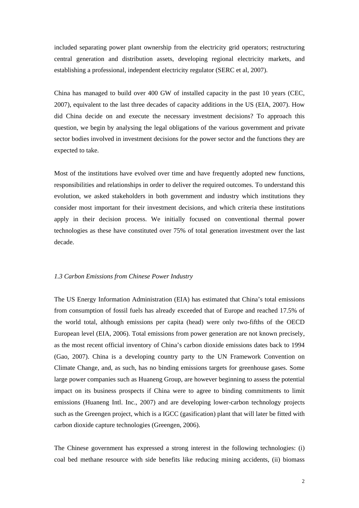included separating power plant ownership from the electricity grid operators; restructuring central generation and distribution assets, developing regional electricity markets, and establishing a professional, independent electricity regulator (SERC et al, 2007).

China has managed to build over 400 GW of installed capacity in the past 10 years (CEC, 2007), equivalent to the last three decades of capacity additions in the US (EIA, 2007). How did China decide on and execute the necessary investment decisions? To approach this question, we begin by analysing the legal obligations of the various government and private sector bodies involved in investment decisions for the power sector and the functions they are expected to take.

Most of the institutions have evolved over time and have frequently adopted new functions, responsibilities and relationships in order to deliver the required outcomes. To understand this evolution, we asked stakeholders in both government and industry which institutions they consider most important for their investment decisions, and which criteria these institutions apply in their decision process. We initially focused on conventional thermal power technologies as these have constituted over 75% of total generation investment over the last decade.

#### *1.3 Carbon Emissions from Chinese Power Industry*

The US Energy Information Administration (EIA) has estimated that China's total emissions from consumption of fossil fuels has already exceeded that of Europe and reached 17.5% of the world total, although emissions per capita (head) were only two-fifths of the OECD European level (EIA, 2006). Total emissions from power generation are not known precisely, as the most recent official inventory of China's carbon dioxide emissions dates back to 1994 (Gao, 2007). China is a developing country party to the UN Framework Convention on Climate Change, and, as such, has no binding emissions targets for greenhouse gases. Some large power companies such as Huaneng Group, are however beginning to assess the potential impact on its business prospects if China were to agree to binding commitments to limit emissions (Huaneng Intl. Inc., 2007) and are developing lower-carbon technology projects such as the Greengen project, which is a IGCC (gasification) plant that will later be fitted with carbon dioxide capture technologies (Greengen, 2006).

The Chinese government has expressed a strong interest in the following technologies: (i) coal bed methane resource with side benefits like reducing mining accidents, (ii) biomass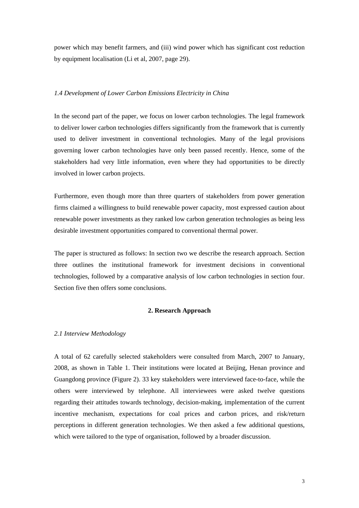power which may benefit farmers, and (iii) wind power which has significant cost reduction by equipment localisation (Li et al, 2007, page 29).

#### *1.4 Development of Lower Carbon Emissions Electricity in China*

In the second part of the paper, we focus on lower carbon technologies. The legal framework to deliver lower carbon technologies differs significantly from the framework that is currently used to deliver investment in conventional technologies. Many of the legal provisions governing lower carbon technologies have only been passed recently. Hence, some of the stakeholders had very little information, even where they had opportunities to be directly involved in lower carbon projects.

Furthermore, even though more than three quarters of stakeholders from power generation firms claimed a willingness to build renewable power capacity, most expressed caution about renewable power investments as they ranked low carbon generation technologies as being less desirable investment opportunities compared to conventional thermal power.

The paper is structured as follows: In section two we describe the research approach. Section three outlines the institutional framework for investment decisions in conventional technologies, followed by a comparative analysis of low carbon technologies in section four. Section five then offers some conclusions.

#### **2. Research Approach**

#### *2.1 Interview Methodology*

A total of 62 carefully selected stakeholders were consulted from March, 2007 to January, 2008, as shown in Table 1. Their institutions were located at Beijing, Henan province and Guangdong province (Figure 2). 33 key stakeholders were interviewed face-to-face, while the others were interviewed by telephone. All interviewees were asked twelve questions regarding their attitudes towards technology, decision-making, implementation of the current incentive mechanism, expectations for coal prices and carbon prices, and risk/return perceptions in different generation technologies. We then asked a few additional questions, which were tailored to the type of organisation, followed by a broader discussion.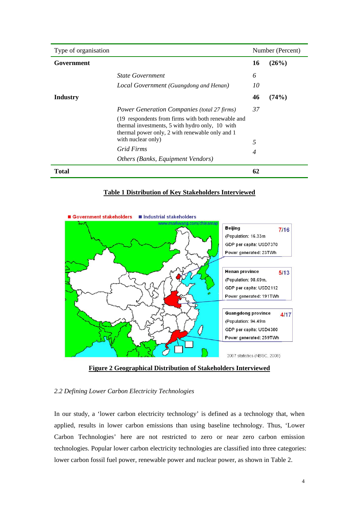| Type of organisation |                                                                                                                                                          |                | Number (Percent) |  |  |
|----------------------|----------------------------------------------------------------------------------------------------------------------------------------------------------|----------------|------------------|--|--|
| Government           |                                                                                                                                                          | 16             | (26%)            |  |  |
|                      | <i><b>State Government</b></i>                                                                                                                           | 6              |                  |  |  |
|                      | Local Government (Guangdong and Henan)                                                                                                                   | 10             |                  |  |  |
| <b>Industry</b>      |                                                                                                                                                          | 46             | (74%)            |  |  |
|                      | <b>Power Generation Companies (total 27 firms)</b>                                                                                                       | 37             |                  |  |  |
|                      | (19 respondents from firms with both renewable and<br>thermal investments, 5 with hydro only, 10 with<br>thermal power only, 2 with renewable only and 1 |                |                  |  |  |
|                      | with nuclear only)                                                                                                                                       | 5              |                  |  |  |
|                      | Grid Firms                                                                                                                                               | $\overline{4}$ |                  |  |  |
|                      | Others (Banks, Equipment Vendors)                                                                                                                        |                |                  |  |  |
| Total                |                                                                                                                                                          | 62             |                  |  |  |

# **Table 1 Distribution of Key Stakeholders Interviewed**



**Figure 2 Geographical Distribution of Stakeholders Interviewed**

# *2.2 Defining Lower Carbon Electricity Technologies*

In our study, a 'lower carbon electricity technology' is defined as a technology that, when applied, results in lower carbon emissions than using baseline technology. Thus, 'Lower Carbon Technologies' here are not restricted to zero or near zero carbon emission technologies. Popular lower carbon electricity technologies are classified into three categories: lower carbon fossil fuel power, renewable power and nuclear power, as shown in Table 2.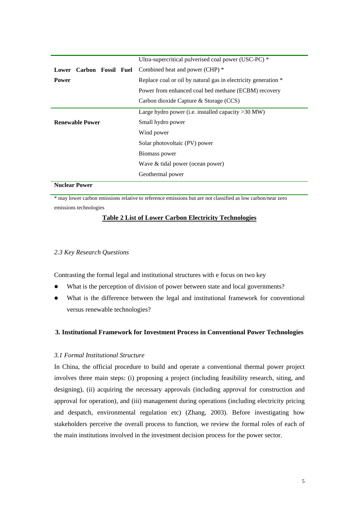|                        | Ultra-supercritical pulverised coal power (USC-PC) *            |
|------------------------|-----------------------------------------------------------------|
|                        | <b>Lower Carbon Fossil Fuel</b> Combined heat and power (CHP) * |
| <b>Power</b>           | Replace coal or oil by natural gas in electricity generation *  |
|                        | Power from enhanced coal bed methane (ECBM) recovery            |
|                        | Carbon dioxide Capture & Storage (CCS)                          |
|                        | Large hydro power (i.e. installed capacity $>30$ MW)            |
| <b>Renewable Power</b> | Small hydro power                                               |
|                        | Wind power                                                      |
|                        | Solar photovoltaic (PV) power                                   |
|                        | Biomass power                                                   |
|                        | Wave & tidal power (ocean power)                                |
|                        | Geothermal power                                                |
|                        |                                                                 |

**Nuclear Power** 

\* may lower carbon emissions relative to reference emissions but are not classified as low carbon/near zero emissions technologies

# **Table 2 List of Lower Carbon Electricity Technologies**

#### *2.3 Key Research Questions*

Contrasting the formal legal and institutional structures with e focus on two key

- What is the perception of division of power between state and local governments?
- What is the difference between the legal and institutional framework for conventional versus renewable technologies?

#### **3. Institutional Framework for Investment Process in Conventional Power Technologies**

#### *3.1 Formal Institutional Structure*

In China, the official procedure to build and operate a conventional thermal power project involves three main steps: (i) proposing a project (including feasibility research, siting, and designing), (ii) acquiring the necessary approvals (including approval for construction and approval for operation), and (iii) management during operations (including electricity pricing and despatch, environmental regulation etc) (Zhang, 2003). Before investigating how stakeholders perceive the overall process to function, we review the formal roles of each of the main institutions involved in the investment decision process for the power sector.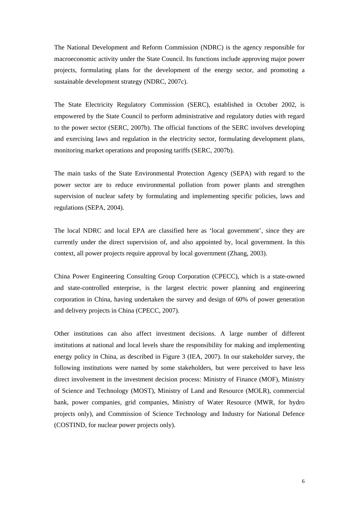The National Development and Reform Commission (NDRC) is the agency responsible for macroeconomic activity under the State Council. Its functions include approving major power projects, formulating plans for the development of the energy sector, and promoting a sustainable development strategy (NDRC, 2007c).

The State Electricity Regulatory Commission (SERC), established in October 2002, is empowered by the State Council to perform administrative and regulatory duties with regard to the power sector (SERC, 2007b). The official functions of the SERC involves developing and exercising laws and regulation in the electricity sector, formulating development plans, monitoring market operations and proposing tariffs (SERC, 2007b).

The main tasks of the State Environmental Protection Agency (SEPA) with regard to the power sector are to reduce environmental pollution from power plants and strengthen supervision of nuclear safety by formulating and implementing specific policies, laws and regulations (SEPA, 2004).

The local NDRC and local EPA are classified here as 'local government', since they are currently under the direct supervision of, and also appointed by, local government. In this context, all power projects require approval by local government (Zhang, 2003).

China Power Engineering Consulting Group Corporation (CPECC), which is a state-owned and state-controlled enterprise, is the largest electric power planning and engineering corporation in China, having undertaken the survey and design of 60% of power generation and delivery projects in China (CPECC, 2007).

Other institutions can also affect investment decisions. A large number of different institutions at national and local levels share the responsibility for making and implementing energy policy in China, as described in Figure 3 (IEA, 2007). In our stakeholder survey, the following institutions were named by some stakeholders, but were perceived to have less direct involvement in the investment decision process: Ministry of Finance (MOF), Ministry of Science and Technology (MOST), Ministry of Land and Resource (MOLR), commercial bank, power companies, grid companies, Ministry of Water Resource (MWR, for hydro projects only), and Commission of Science Technology and Industry for National Defence (COSTIND, for nuclear power projects only).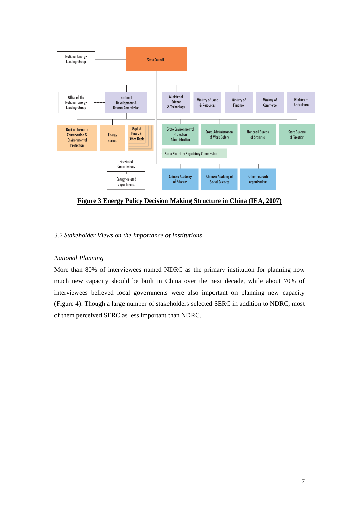

**Figure 3 Energy Policy Decision Making Structure in China (IEA, 2007)**

# *3.2 Stakeholder Views on the Importance of Institutions*

# *National Planning*

More than 80% of interviewees named NDRC as the primary institution for planning how much new capacity should be built in China over the next decade, while about 70% of interviewees believed local governments were also important on planning new capacity (Figure 4). Though a large number of stakeholders selected SERC in addition to NDRC, most of them perceived SERC as less important than NDRC.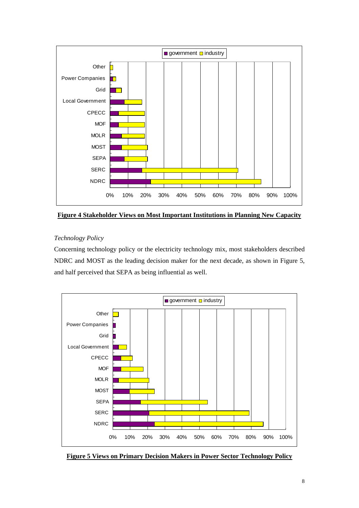

**Figure 4 Stakeholder Views on Most Important Institutions in Planning New Capacity**

# *Technology Policy*

Concerning technology policy or the electricity technology mix, most stakeholders described NDRC and MOST as the leading decision maker for the next decade, as shown in Figure 5, and half perceived that SEPA as being influential as well.



**Figure 5 Views on Primary Decision Makers in Power Sector Technology Policy**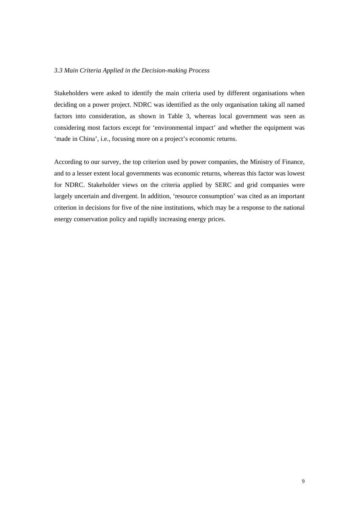#### *3.3 Main Criteria Applied in the Decision-making Process*

Stakeholders were asked to identify the main criteria used by different organisations when deciding on a power project. NDRC was identified as the only organisation taking all named factors into consideration, as shown in Table 3, whereas local government was seen as considering most factors except for 'environmental impact' and whether the equipment was 'made in China', i.e., focusing more on a project's economic returns.

According to our survey, the top criterion used by power companies, the Ministry of Finance, and to a lesser extent local governments was economic returns, whereas this factor was lowest for NDRC. Stakeholder views on the criteria applied by SERC and grid companies were largely uncertain and divergent. In addition, 'resource consumption' was cited as an important criterion in decisions for five of the nine institutions, which may be a response to the national energy conservation policy and rapidly increasing energy prices.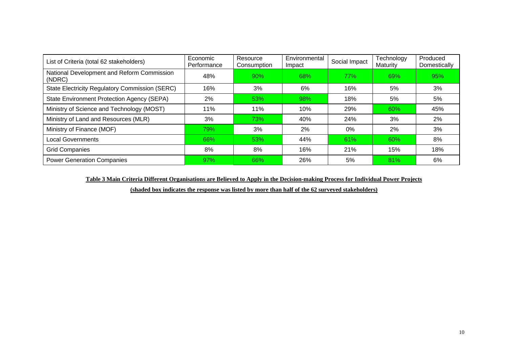| List of Criteria (total 62 stakeholders)              | Economic<br>Performance | Resource<br>Consumption | Environmental<br>Impact | Social Impact | Technology<br>Maturity | Produced<br>Domestically |
|-------------------------------------------------------|-------------------------|-------------------------|-------------------------|---------------|------------------------|--------------------------|
| National Development and Reform Commission<br>(NDRC)  | 48%                     | 90%                     | 68%                     | 77%           | 69%                    | 95%                      |
| <b>State Electricity Regulatory Commission (SERC)</b> | 16%                     | 3%                      | 6%                      | 16%           | 5%                     | 3%                       |
| State Environment Protection Agency (SEPA)            | 2%                      | 53%                     | 98%                     | 18%           | 5%                     | 5%                       |
| Ministry of Science and Technology (MOST)             | 11%                     | 11%                     | 10%                     | 29%           | 60%                    | 45%                      |
| Ministry of Land and Resources (MLR)                  | 3%                      | 73%                     | 40%                     | 24%           | 3%                     | 2%                       |
| Ministry of Finance (MOF)                             | 79%                     | 3%                      | 2%                      | 0%            | 2%                     | 3%                       |
| <b>Local Governments</b>                              | 66%                     | 53%                     | 44%                     | 61%           | 60%                    | 8%                       |
| <b>Grid Companies</b>                                 | 8%                      | 8%                      | 16%                     | 21%           | 15%                    | 18%                      |
| <b>Power Generation Companies</b>                     | 97%                     | <b>66%</b>              | 26%                     | 5%            | 81%                    | 6%                       |

**Table 3 Main Criteria Different Organisations are Believed to Apply in the Decision-making Process for Individual Power Projects** 

**(shaded box indicates the response was listed by more than half of the 62 surveyed stakeholders)**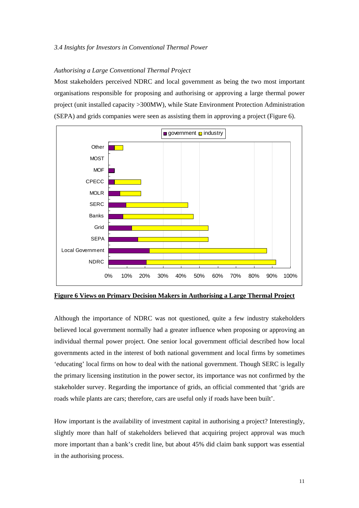#### *3.4 Insights for Investors in Conventional Thermal Power*

#### *Authorising a Large Conventional Thermal Project*

Most stakeholders perceived NDRC and local government as being the two most important organisations responsible for proposing and authorising or approving a large thermal power project (unit installed capacity >300MW), while State Environment Protection Administration (SEPA) and grids companies were seen as assisting them in approving a project (Figure 6).



**Figure 6 Views on Primary Decision Makers in Authorising a Large Thermal Project**

Although the importance of NDRC was not questioned, quite a few industry stakeholders believed local government normally had a greater influence when proposing or approving an individual thermal power project. One senior local government official described how local governments acted in the interest of both national government and local firms by sometimes 'educating' local firms on how to deal with the national government. Though SERC is legally the primary licensing institution in the power sector, its importance was not confirmed by the stakeholder survey. Regarding the importance of grids, an official commented that 'grids are roads while plants are cars; therefore, cars are useful only if roads have been built'.

How important is the availability of investment capital in authorising a project? Interestingly, slightly more than half of stakeholders believed that acquiring project approval was much more important than a bank's credit line, but about 45% did claim bank support was essential in the authorising process.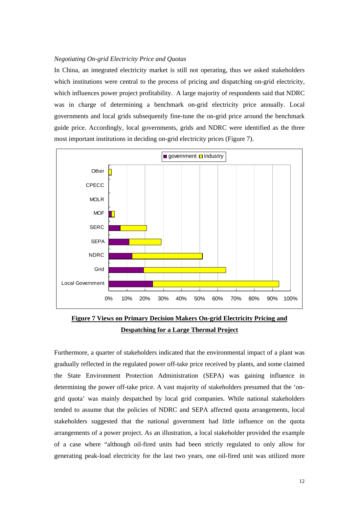#### *Negotiating On-grid Electricity Price and Quotas*

In China, an integrated electricity market is still not operating, thus we asked stakeholders which institutions were central to the process of pricing and dispatching on-grid electricity, which influences power project profitability. A large majority of respondents said that NDRC was in charge of determining a benchmark on-grid electricity price annually. Local governments and local grids subsequently fine-tune the on-grid price around the benchmark guide price. Accordingly, local governments, grids and NDRC were identified as the three most important institutions in deciding on-grid electricity prices (Figure 7).



**Figure 7 Views on Primary Decision Makers On-grid Electricity Pricing and Despatching for a Large Thermal Project**

Furthermore, a quarter of stakeholders indicated that the environmental impact of a plant was gradually reflected in the regulated power off-take price received by plants, and some claimed the State Environment Protection Administration (SEPA) was gaining influence in determining the power off-take price. A vast majority of stakeholders presumed that the 'ongrid quota' was mainly despatched by local grid companies. While national stakeholders tended to assume that the policies of NDRC and SEPA affected quota arrangements, local stakeholders suggested that the national government had little influence on the quota arrangements of a power project. As an illustration, a local stakeholder provided the example of a case where "although oil-fired units had been strictly regulated to only allow for generating peak-load electricity for the last two years, one oil-fired unit was utilized more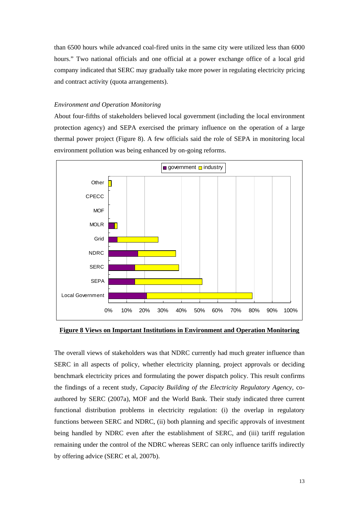than 6500 hours while advanced coal-fired units in the same city were utilized less than 6000 hours." Two national officials and one official at a power exchange office of a local grid company indicated that SERC may gradually take more power in regulating electricity pricing and contract activity (quota arrangements).

#### *Environment and Operation Monitoring*

About four-fifths of stakeholders believed local government (including the local environment protection agency) and SEPA exercised the primary influence on the operation of a large thermal power project (Figure 8). A few officials said the role of SEPA in monitoring local environment pollution was being enhanced by on-going reforms.



**Figure 8 Views on Important Institutions in Environment and Operation Monitoring**

The overall views of stakeholders was that NDRC currently had much greater influence than SERC in all aspects of policy, whether electricity planning, project approvals or deciding benchmark electricity prices and formulating the power dispatch policy. This result confirms the findings of a recent study, *Capacity Building of the Electricity Regulatory Agency*, coauthored by SERC (2007a), MOF and the World Bank. Their study indicated three current functional distribution problems in electricity regulation: (i) the overlap in regulatory functions between SERC and NDRC, (ii) both planning and specific approvals of investment being handled by NDRC even after the establishment of SERC, and (iii) tariff regulation remaining under the control of the NDRC whereas SERC can only influence tariffs indirectly by offering advice (SERC et al, 2007b).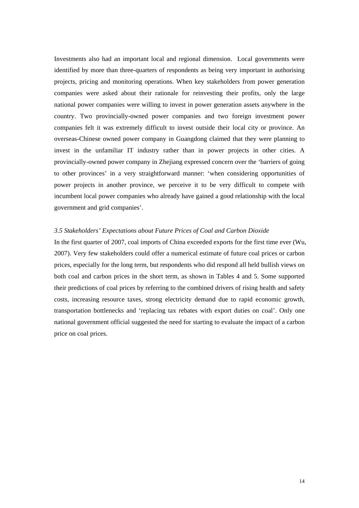Investments also had an important local and regional dimension. Local governments were identified by more than three-quarters of respondents as being very important in authorising projects, pricing and monitoring operations. When key stakeholders from power generation companies were asked about their rationale for reinvesting their profits, only the large national power companies were willing to invest in power generation assets anywhere in the country. Two provincially-owned power companies and two foreign investment power companies felt it was extremely difficult to invest outside their local city or province. An overseas-Chinese owned power company in Guangdong claimed that they were planning to invest in the unfamiliar IT industry rather than in power projects in other cities. A provincially-owned power company in Zhejiang expressed concern over the 'barriers of going to other provinces' in a very straightforward manner: 'when considering opportunities of power projects in another province, we perceive it to be very difficult to compete with incumbent local power companies who already have gained a good relationship with the local government and grid companies'.

#### *3.5 Stakeholders' Expectations about Future Prices of Coal and Carbon Dioxide*

In the first quarter of 2007, coal imports of China exceeded exports for the first time ever (Wu, 2007). Very few stakeholders could offer a numerical estimate of future coal prices or carbon prices, especially for the long term, but respondents who did respond all held bullish views on both coal and carbon prices in the short term, as shown in Tables 4 and 5. Some supported their predictions of coal prices by referring to the combined drivers of rising health and safety costs, increasing resource taxes, strong electricity demand due to rapid economic growth, transportation bottlenecks and 'replacing tax rebates with export duties on coal'. Only one national government official suggested the need for starting to evaluate the impact of a carbon price on coal prices.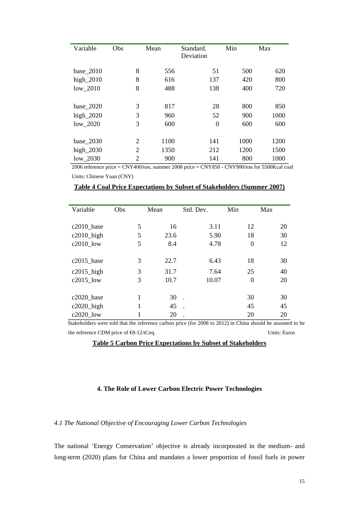| Variable    | Obs            | Mean | Standard.<br>Deviation | Min  | Max  |
|-------------|----------------|------|------------------------|------|------|
| base_2010   | 8              | 556  | 51                     | 500  | 620  |
| high $2010$ | 8              | 616  | 137                    | 420  | 800  |
| $low_2010$  | 8              | 488  | 138                    | 400  | 720  |
|             |                |      |                        |      |      |
| base_2020   | 3              | 817  | 28                     | 800  | 850  |
| high_2020   | 3              | 960  | 52                     | 900  | 1000 |
| $low_2020$  | 3              | 600  | $\overline{0}$         | 600  | 600  |
|             |                |      |                        |      |      |
| base_2030   | $\overline{2}$ | 1100 | 141                    | 1000 | 1200 |
| high_2030   | 2              | 1350 | 212                    | 1200 | 1500 |
| low 2030    | 2              | 900  | 141                    | 800  | 1000 |

2006 reference price = CNY400/ton, summer 2008 price = CNY850 - CNY900/ton for 5500Kcal coal Units: Chinese Yuan (CNY)

| Variable      | Obs | Mean | Std. Dev. | Min            | Max |
|---------------|-----|------|-----------|----------------|-----|
|               |     |      |           |                |     |
| c2010_base    | 5   | 16   | 3.11      | 12             | 20  |
| $c2010$ _high | 5   | 23.6 | 5.90      | 18             | 30  |
| $c2010$ low   | 5   | 8.4  | 4.78      | $\overline{0}$ | 12  |
|               |     |      |           |                |     |
| $c2015$ _base | 3   | 22.7 | 6.43      | 18             | 30  |
| $c2015$ _high | 3   | 31.7 | 7.64      | 25             | 40  |
| $c2015$ low   | 3   | 10.7 | 10.07     | $\theta$       | 20  |
|               |     |      |           |                |     |
| c2020_base    |     | 30   |           | 30             | 30  |
| $c2020$ _high | 1   | 45   |           | 45             | 45  |
| c2020_low     | 1   | 20   |           | 20             | 20  |

**Table 4 Coal Price Expectations by Subset of Stakeholders (Summer 2007)**

 Stakeholders were told that the reference carbon price (for 2008 to 2012) in China should be assumed to be the reference CDM price of €8-12/tCeq. Units: Euros

**Table 5 Carbon Price Expectations by Subset of Stakeholders**

# **4. The Role of Lower Carbon Electric Power Technologies**

# *4.1 The National Objective of Encouraging Lower Carbon Technologies*

The national 'Energy Conservation' objective is already incorporated in the medium- and long-term (2020) plans for China and mandates a lower proportion of fossil fuels in power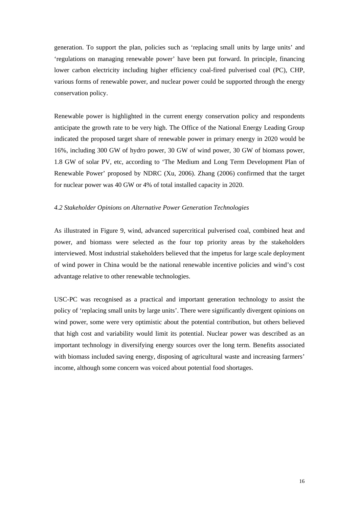generation. To support the plan, policies such as 'replacing small units by large units' and 'regulations on managing renewable power' have been put forward. In principle, financing lower carbon electricity including higher efficiency coal-fired pulverised coal (PC), CHP, various forms of renewable power, and nuclear power could be supported through the energy conservation policy.

Renewable power is highlighted in the current energy conservation policy and respondents anticipate the growth rate to be very high. The Office of the National Energy Leading Group indicated the proposed target share of renewable power in primary energy in 2020 would be 16%, including 300 GW of hydro power, 30 GW of wind power, 30 GW of biomass power, 1.8 GW of solar PV, etc, according to 'The Medium and Long Term Development Plan of Renewable Power' proposed by NDRC (Xu, 2006). Zhang (2006) confirmed that the target for nuclear power was 40 GW or 4% of total installed capacity in 2020.

#### *4.2 Stakeholder Opinions on Alternative Power Generation Technologies*

As illustrated in Figure 9, wind, advanced supercritical pulverised coal, combined heat and power, and biomass were selected as the four top priority areas by the stakeholders interviewed. Most industrial stakeholders believed that the impetus for large scale deployment of wind power in China would be the national renewable incentive policies and wind's cost advantage relative to other renewable technologies.

USC-PC was recognised as a practical and important generation technology to assist the policy of 'replacing small units by large units'. There were significantly divergent opinions on wind power, some were very optimistic about the potential contribution, but others believed that high cost and variability would limit its potential. Nuclear power was described as an important technology in diversifying energy sources over the long term. Benefits associated with biomass included saving energy, disposing of agricultural waste and increasing farmers' income, although some concern was voiced about potential food shortages.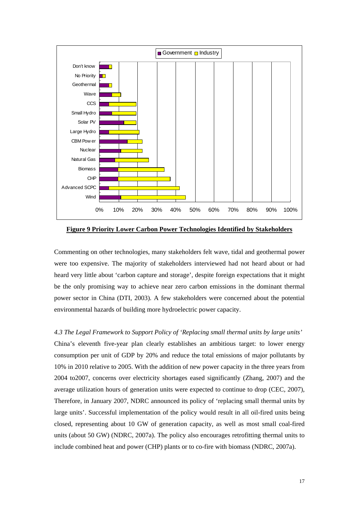

**Figure 9 Priority Lower Carbon Power Technologies Identified by Stakeholders**

Commenting on other technologies, many stakeholders felt wave, tidal and geothermal power were too expensive. The majority of stakeholders interviewed had not heard about or had heard very little about 'carbon capture and storage', despite foreign expectations that it might be the only promising way to achieve near zero carbon emissions in the dominant thermal power sector in China (DTI, 2003). A few stakeholders were concerned about the potential environmental hazards of building more hydroelectric power capacity.

*4.3 The Legal Framework to Support Policy of 'Replacing small thermal units by large units'*  China's eleventh five-year plan clearly establishes an ambitious target: to lower energy consumption per unit of GDP by 20% and reduce the total emissions of major pollutants by 10% in 2010 relative to 2005. With the addition of new power capacity in the three years from 2004 to2007, concerns over electricity shortages eased significantly (Zhang, 2007) and the average utilization hours of generation units were expected to continue to drop (CEC, 2007), Therefore, in January 2007, NDRC announced its policy of 'replacing small thermal units by large units'. Successful implementation of the policy would result in all oil-fired units being closed, representing about 10 GW of generation capacity, as well as most small coal-fired units (about 50 GW) (NDRC, 2007a). The policy also encourages retrofitting thermal units to include combined heat and power (CHP) plants or to co-fire with biomass (NDRC, 2007a).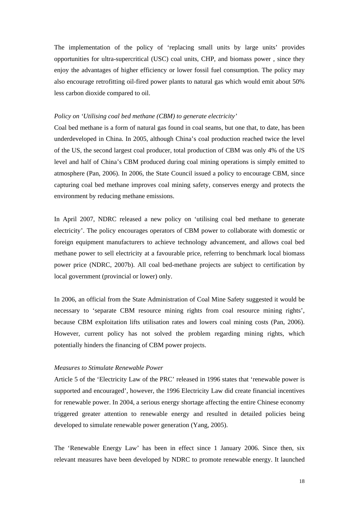The implementation of the policy of 'replacing small units by large units' provides opportunities for ultra-supercritical (USC) coal units, CHP, and biomass power , since they enjoy the advantages of higher efficiency or lower fossil fuel consumption. The policy may also encourage retrofitting oil-fired power plants to natural gas which would emit about 50% less carbon dioxide compared to oil.

#### *Policy on 'Utilising coal bed methane (CBM) to generate electricity'*

Coal bed methane is a form of natural gas found in coal seams, but one that, to date, has been underdeveloped in China. In 2005, although China's coal production reached twice the level of the US, the second largest coal producer, total production of CBM was only 4% of the US level and half of China's CBM produced during coal mining operations is simply emitted to atmosphere (Pan, 2006). In 2006, the State Council issued a policy to encourage CBM, since capturing coal bed methane improves coal mining safety, conserves energy and protects the environment by reducing methane emissions.

In April 2007, NDRC released a new policy on 'utilising coal bed methane to generate electricity'. The policy encourages operators of CBM power to collaborate with domestic or foreign equipment manufacturers to achieve technology advancement, and allows coal bed methane power to sell electricity at a favourable price, referring to benchmark local biomass power price (NDRC, 2007b). All coal bed-methane projects are subject to certification by local government (provincial or lower) only.

In 2006, an official from the State Administration of Coal Mine Safety suggested it would be necessary to 'separate CBM resource mining rights from coal resource mining rights', because CBM exploitation lifts utilisation rates and lowers coal mining costs (Pan, 2006). However, current policy has not solved the problem regarding mining rights, which potentially hinders the financing of CBM power projects.

#### *Measures to Stimulate Renewable Power*

Article 5 of the 'Electricity Law of the PRC' released in 1996 states that 'renewable power is supported and encouraged', however, the 1996 Electricity Law did create financial incentives for renewable power. In 2004, a serious energy shortage affecting the entire Chinese economy triggered greater attention to renewable energy and resulted in detailed policies being developed to simulate renewable power generation (Yang, 2005).

The 'Renewable Energy Law' has been in effect since 1 January 2006. Since then, six relevant measures have been developed by NDRC to promote renewable energy. It launched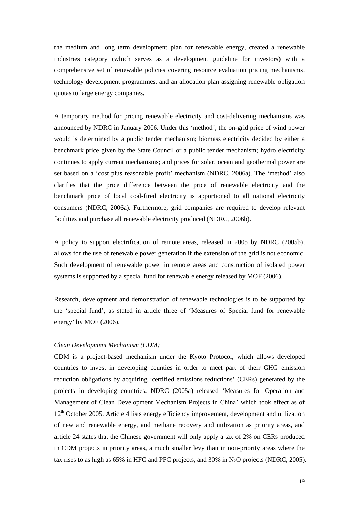the medium and long term development plan for renewable energy, created a renewable industries category (which serves as a development guideline for investors) with a comprehensive set of renewable policies covering resource evaluation pricing mechanisms, technology development programmes, and an allocation plan assigning renewable obligation quotas to large energy companies.

A temporary method for pricing renewable electricity and cost-delivering mechanisms was announced by NDRC in January 2006. Under this 'method', the on-grid price of wind power would is determined by a public tender mechanism; biomass electricity decided by either a benchmark price given by the State Council or a public tender mechanism; hydro electricity continues to apply current mechanisms; and prices for solar, ocean and geothermal power are set based on a 'cost plus reasonable profit' mechanism (NDRC, 2006a). The 'method' also clarifies that the price difference between the price of renewable electricity and the benchmark price of local coal-fired electricity is apportioned to all national electricity consumers (NDRC, 2006a). Furthermore, grid companies are required to develop relevant facilities and purchase all renewable electricity produced (NDRC, 2006b).

A policy to support electrification of remote areas, released in 2005 by NDRC (2005b), allows for the use of renewable power generation if the extension of the grid is not economic. Such development of renewable power in remote areas and construction of isolated power systems is supported by a special fund for renewable energy released by MOF (2006).

Research, development and demonstration of renewable technologies is to be supported by the 'special fund', as stated in article three of 'Measures of Special fund for renewable energy' by MOF (2006).

#### *Clean Development Mechanism (CDM)*

CDM is a project-based mechanism under the Kyoto Protocol, which allows developed countries to invest in developing counties in order to meet part of their GHG emission reduction obligations by acquiring 'certified emissions reductions' (CERs) generated by the projects in developing countries. NDRC (2005a) released 'Measures for Operation and Management of Clean Development Mechanism Projects in China' which took effect as of 12<sup>th</sup> October 2005. Article 4 lists energy efficiency improvement, development and utilization of new and renewable energy, and methane recovery and utilization as priority areas, and article 24 states that the Chinese government will only apply a tax of 2% on CERs produced in CDM projects in priority areas, a much smaller levy than in non-priority areas where the tax rises to as high as  $65\%$  in HFC and PFC projects, and  $30\%$  in N<sub>2</sub>O projects (NDRC, 2005).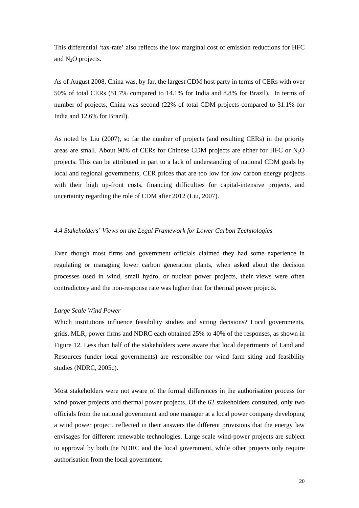This differential 'tax-rate' also reflects the low marginal cost of emission reductions for HFC and  $N_2O$  projects.

As of August 2008, China was, by far, the largest CDM host party in terms of CERs with over 50% of total CERs (51.7% compared to 14.1% for India and 8.8% for Brazil). In terms of number of projects, China was second (22% of total CDM projects compared to 31.1% for India and 12.6% for Brazil).

As noted by Liu (2007), so far the number of projects (and resulting CERs) in the priority areas are small. About 90% of CERs for Chinese CDM projects are either for HFC or  $N_2O$ projects. This can be attributed in part to a lack of understanding of national CDM goals by local and regional governments, CER prices that are too low for low carbon energy projects with their high up-front costs, financing difficulties for capital-intensive projects, and uncertainty regarding the role of CDM after 2012 (Liu, 2007).

#### *4.4 Stakeholders' Views on the Legal Framework for Lower Carbon Technologies*

Even though most firms and government officials claimed they had some experience in regulating or managing lower carbon generation plants, when asked about the decision processes used in wind, small hydro, or nuclear power projects, their views were often contradictory and the non-response rate was higher than for thermal power projects.

#### *Large Scale Wind Power*

Which institutions influence feasibility studies and sitting decisions? Local governments, grids, MLR, power firms and NDRC each obtained 25% to 40% of the responses, as shown in Figure 12. Less than half of the stakeholders were aware that local departments of Land and Resources (under local governments) are responsible for wind farm siting and feasibility studies (NDRC, 2005c).

Most stakeholders were not aware of the formal differences in the authorisation process for wind power projects and thermal power projects. Of the 62 stakeholders consulted, only two officials from the national government and one manager at a local power company developing a wind power project, reflected in their answers the different provisions that the energy law envisages for different renewable technologies. Large scale wind-power projects are subject to approval by both the NDRC and the local government, while other projects only require authorisation from the local government.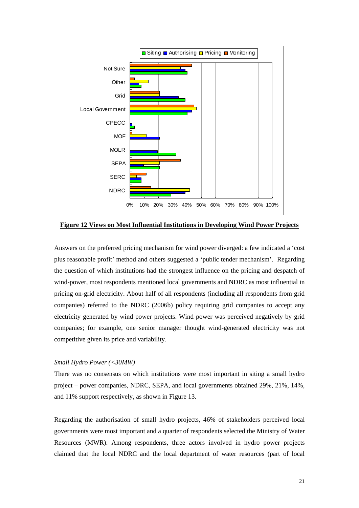

**Figure 12 Views on Most Influential Institutions in Developing Wind Power Projects**

Answers on the preferred pricing mechanism for wind power diverged: a few indicated a 'cost plus reasonable profit' method and others suggested a 'public tender mechanism'. Regarding the question of which institutions had the strongest influence on the pricing and despatch of wind-power, most respondents mentioned local governments and NDRC as most influential in pricing on-grid electricity. About half of all respondents (including all respondents from grid companies) referred to the NDRC (2006b) policy requiring grid companies to accept any electricity generated by wind power projects. Wind power was perceived negatively by grid companies; for example, one senior manager thought wind-generated electricity was not competitive given its price and variability.

#### *Small Hydro Power (<30MW)*

There was no consensus on which institutions were most important in siting a small hydro project – power companies, NDRC, SEPA, and local governments obtained 29%, 21%, 14%, and 11% support respectively, as shown in Figure 13.

Regarding the authorisation of small hydro projects, 46% of stakeholders perceived local governments were most important and a quarter of respondents selected the Ministry of Water Resources (MWR). Among respondents, three actors involved in hydro power projects claimed that the local NDRC and the local department of water resources (part of local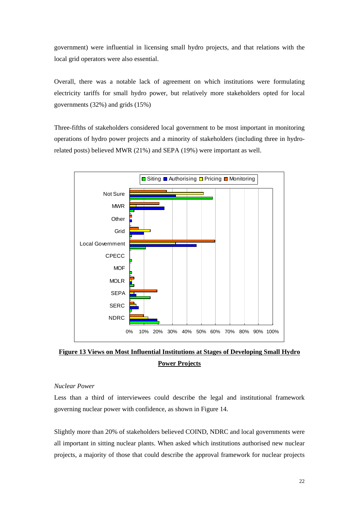government) were influential in licensing small hydro projects, and that relations with the local grid operators were also essential.

Overall, there was a notable lack of agreement on which institutions were formulating electricity tariffs for small hydro power, but relatively more stakeholders opted for local governments (32%) and grids (15%)

Three-fifths of stakeholders considered local government to be most important in monitoring operations of hydro power projects and a minority of stakeholders (including three in hydrorelated posts) believed MWR (21%) and SEPA (19%) were important as well.



**Figure 13 Views on Most Influential Institutions at Stages of Developing Small Hydro Power Projects**

# *Nuclear Power*

Less than a third of interviewees could describe the legal and institutional framework governing nuclear power with confidence, as shown in Figure 14.

Slightly more than 20% of stakeholders believed COIND, NDRC and local governments were all important in sitting nuclear plants. When asked which institutions authorised new nuclear projects, a majority of those that could describe the approval framework for nuclear projects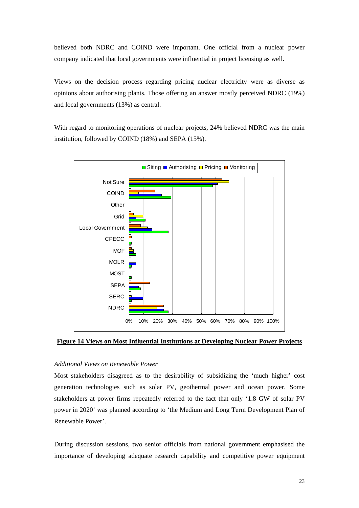believed both NDRC and COIND were important. One official from a nuclear power company indicated that local governments were influential in project licensing as well.

Views on the decision process regarding pricing nuclear electricity were as diverse as opinions about authorising plants. Those offering an answer mostly perceived NDRC (19%) and local governments (13%) as central.

With regard to monitoring operations of nuclear projects, 24% believed NDRC was the main institution, followed by COIND (18%) and SEPA (15%).



**Figure 14 Views on Most Influential Institutions at Developing Nuclear Power Projects**

#### *Additional Views on Renewable Power*

Most stakeholders disagreed as to the desirability of subsidizing the 'much higher' cost generation technologies such as solar PV, geothermal power and ocean power. Some stakeholders at power firms repeatedly referred to the fact that only '1.8 GW of solar PV power in 2020' was planned according to 'the Medium and Long Term Development Plan of Renewable Power'.

During discussion sessions, two senior officials from national government emphasised the importance of developing adequate research capability and competitive power equipment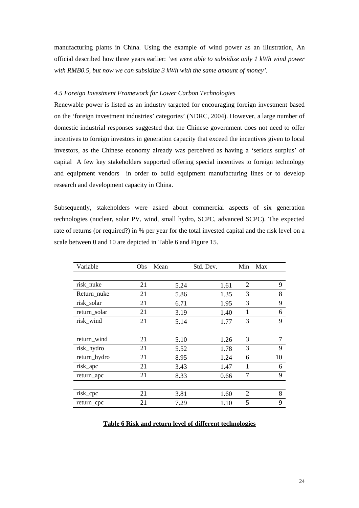manufacturing plants in China. Using the example of wind power as an illustration, An official described how three years earlier: *'we were able to subsidize only 1 kWh wind power with RMB0.5, but now we can subsidize 3 kWh with the same amount of money'.* 

#### *4.5 Foreign Investment Framework for Lower Carbon Technologies*

Renewable power is listed as an industry targeted for encouraging foreign investment based on the 'foreign investment industries' categories' (NDRC, 2004). However, a large number of domestic industrial responses suggested that the Chinese government does not need to offer incentives to foreign investors in generation capacity that exceed the incentives given to local investors, as the Chinese economy already was perceived as having a 'serious surplus' of capital A few key stakeholders supported offering special incentives to foreign technology and equipment vendors in order to build equipment manufacturing lines or to develop research and development capacity in China.

Subsequently, stakeholders were asked about commercial aspects of six generation technologies (nuclear, solar PV, wind, small hydro, SCPC, advanced SCPC). The expected rate of returns (or required?) in % per year for the total invested capital and the risk level on a scale between 0 and 10 are depicted in Table 6 and Figure 15.

| Variable     | <b>Obs</b> | Mean | Std. Dev. | Min            | Max |
|--------------|------------|------|-----------|----------------|-----|
|              |            |      |           |                |     |
| risk_nuke    | 21         | 5.24 | 1.61      | 2              | 9   |
| Return_nuke  | 21         | 5.86 | 1.35      | 3              | 8   |
| risk_solar   | 21         | 6.71 | 1.95      | 3              | 9   |
| return_solar | 21         | 3.19 | 1.40      | 1              | 6   |
| risk_wind    | 21         | 5.14 | 1.77      | 3              | 9   |
|              |            |      |           |                |     |
| return_wind  | 21         | 5.10 | 1.26      | 3              | 7   |
| risk_hydro   | 21         | 5.52 | 1.78      | 3              | 9   |
| return_hydro | 21         | 8.95 | 1.24      | 6              | 10  |
| risk_apc     | 21         | 3.43 | 1.47      | 1              | 6   |
| return_apc   | 21         | 8.33 | 0.66      | 7              | 9   |
|              |            |      |           |                |     |
| risk_cpc     | 21         | 3.81 | 1.60      | $\overline{2}$ | 8   |
| return_cpc   | 21         | 7.29 | 1.10      | 5              | 9   |

#### **Table 6 Risk and return level of different technologies**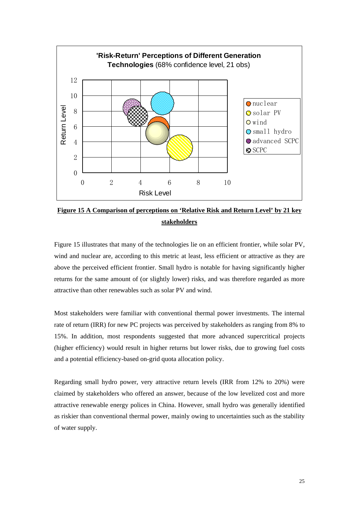

**Figure 15 A Comparison of perceptions on 'Relative Risk and Return Level' by 21 key stakeholders**

Figure 15 illustrates that many of the technologies lie on an efficient frontier, while solar PV, wind and nuclear are, according to this metric at least, less efficient or attractive as they are above the perceived efficient frontier. Small hydro is notable for having significantly higher returns for the same amount of (or slightly lower) risks, and was therefore regarded as more attractive than other renewables such as solar PV and wind.

Most stakeholders were familiar with conventional thermal power investments. The internal rate of return (IRR) for new PC projects was perceived by stakeholders as ranging from 8% to 15%. In addition, most respondents suggested that more advanced supercritical projects (higher efficiency) would result in higher returns but lower risks, due to growing fuel costs and a potential efficiency-based on-grid quota allocation policy.

Regarding small hydro power, very attractive return levels (IRR from 12% to 20%) were claimed by stakeholders who offered an answer, because of the low levelized cost and more attractive renewable energy polices in China. However, small hydro was generally identified as riskier than conventional thermal power, mainly owing to uncertainties such as the stability of water supply.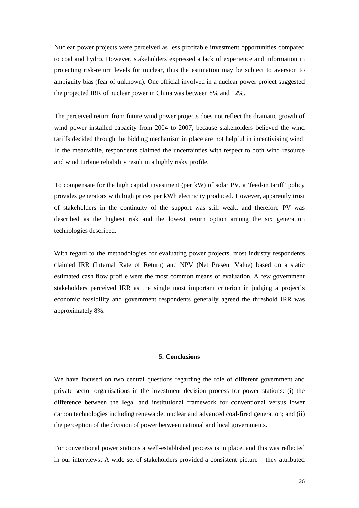Nuclear power projects were perceived as less profitable investment opportunities compared to coal and hydro. However, stakeholders expressed a lack of experience and information in projecting risk-return levels for nuclear, thus the estimation may be subject to aversion to ambiguity bias (fear of unknown). One official involved in a nuclear power project suggested the projected IRR of nuclear power in China was between 8% and 12%.

The perceived return from future wind power projects does not reflect the dramatic growth of wind power installed capacity from 2004 to 2007, because stakeholders believed the wind tariffs decided through the bidding mechanism in place are not helpful in incentivising wind. In the meanwhile, respondents claimed the uncertainties with respect to both wind resource and wind turbine reliability result in a highly risky profile.

To compensate for the high capital investment (per kW) of solar PV, a 'feed-in tariff' policy provides generators with high prices per kWh electricity produced. However, apparently trust of stakeholders in the continuity of the support was still weak, and therefore PV was described as the highest risk and the lowest return option among the six generation technologies described.

With regard to the methodologies for evaluating power projects, most industry respondents claimed IRR (Internal Rate of Return) and NPV (Net Present Value) based on a static estimated cash flow profile were the most common means of evaluation. A few government stakeholders perceived IRR as the single most important criterion in judging a project's economic feasibility and government respondents generally agreed the threshold IRR was approximately 8%.

#### **5. Conclusions**

We have focused on two central questions regarding the role of different government and private sector organisations in the investment decision process for power stations: (i) the difference between the legal and institutional framework for conventional versus lower carbon technologies including renewable, nuclear and advanced coal-fired generation; and (ii) the perception of the division of power between national and local governments.

For conventional power stations a well-established process is in place, and this was reflected in our interviews: A wide set of stakeholders provided a consistent picture – they attributed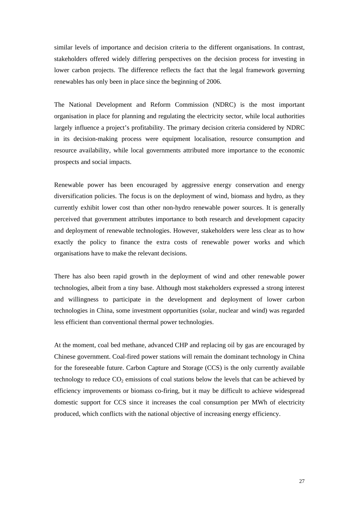similar levels of importance and decision criteria to the different organisations. In contrast, stakeholders offered widely differing perspectives on the decision process for investing in lower carbon projects. The difference reflects the fact that the legal framework governing renewables has only been in place since the beginning of 2006.

The National Development and Reform Commission (NDRC) is the most important organisation in place for planning and regulating the electricity sector, while local authorities largely influence a project's profitability. The primary decision criteria considered by NDRC in its decision-making process were equipment localisation, resource consumption and resource availability, while local governments attributed more importance to the economic prospects and social impacts.

Renewable power has been encouraged by aggressive energy conservation and energy diversification policies. The focus is on the deployment of wind, biomass and hydro, as they currently exhibit lower cost than other non-hydro renewable power sources. It is generally perceived that government attributes importance to both research and development capacity and deployment of renewable technologies. However, stakeholders were less clear as to how exactly the policy to finance the extra costs of renewable power works and which organisations have to make the relevant decisions.

There has also been rapid growth in the deployment of wind and other renewable power technologies, albeit from a tiny base. Although most stakeholders expressed a strong interest and willingness to participate in the development and deployment of lower carbon technologies in China, some investment opportunities (solar, nuclear and wind) was regarded less efficient than conventional thermal power technologies.

At the moment, coal bed methane, advanced CHP and replacing oil by gas are encouraged by Chinese government. Coal-fired power stations will remain the dominant technology in China for the foreseeable future. Carbon Capture and Storage (CCS) is the only currently available technology to reduce  $CO<sub>2</sub>$  emissions of coal stations below the levels that can be achieved by efficiency improvements or biomass co-firing, but it may be difficult to achieve widespread domestic support for CCS since it increases the coal consumption per MWh of electricity produced, which conflicts with the national objective of increasing energy efficiency.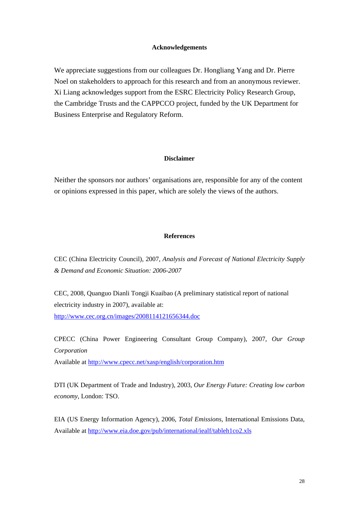#### **Acknowledgements**

We appreciate suggestions from our colleagues Dr. Hongliang Yang and Dr. Pierre Noel on stakeholders to approach for this research and from an anonymous reviewer. Xi Liang acknowledges support from the ESRC Electricity Policy Research Group, the Cambridge Trusts and the CAPPCCO project, funded by the UK Department for Business Enterprise and Regulatory Reform.

# **Disclaimer**

Neither the sponsors nor authors' organisations are, responsible for any of the content or opinions expressed in this paper, which are solely the views of the authors.

# **References**

CEC (China Electricity Council), 2007, *Analysis and Forecast of National Electricity Supply & Demand and Economic Situation: 2006-2007* 

CEC, 2008, Quanguo Dianli Tongji Kuaibao (A preliminary statistical report of national electricity industry in 2007), available at: <http://www.cec.org.cn/images/2008114121656344.doc>

CPECC (China Power Engineering Consultant Group Company), 2007, *Our Group Corporation*

Available at<http://www.cpecc.net/xasp/english/corporation.htm>

DTI (UK Department of Trade and Industry), 2003, *Our Energy Future: Creating low carbon economy*, London: TSO.

EIA (US Energy Information Agency), 2006, *Total Emissions*, International Emissions Data, Available at<http://www.eia.doe.gov/pub/international/iealf/tableh1co2.xls>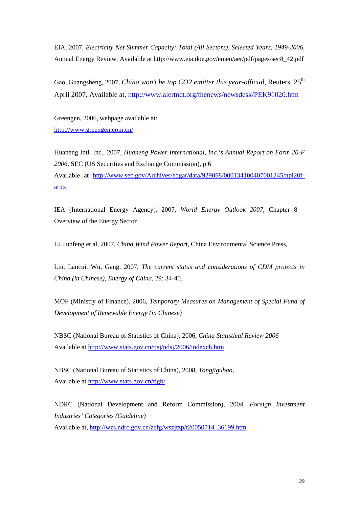EIA, 2007, *Electricity Net Summer Capacity: Total (All Sectors), Selected Years, 1949-2006*, Annual Energy Review, Available at http://www.eia.doe.gov/emeu/aer/pdf/pages/sec8\_42.pdf

Gao, Guangsheng, 2007, *China won't be top CO2 emitter this year-official*, Reuters, 25<sup>th</sup> April 2007, Available at, <http://www.alertnet.org/thenews/newsdesk/PEK91020.htm>

Greengen, 2006, webpage available at: <http://www.greengen.com.cn/>

Huaneng Intl. Inc., 2007, *Huaneng Power International, Inc.'s Annual Report on Form 20-F 2006*, SEC (US Securities and Exchange Commission), p 6 Available at [http://www.sec.gov/Archives/edgar/data/929058/000134100407001245/hpi20f](http://www.sec.gov/Archives/edgar/data/929058/000134100407001245/hpi20f-ar.txt)[ar.txt](http://www.sec.gov/Archives/edgar/data/929058/000134100407001245/hpi20f-ar.txt)

IEA (International Energy Agency), 2007, *World Energy Outlook 2007*, Chapter 8 – Overview of the Energy Sector

Li, Junfeng et al, 2007, *China Wind Power Repor*t, China Environmental Science Press,

Liu, Lancui, Wu, Gang, 2007, *The current status and considerations of CDM projects in China (in Chinese), Energy of China*, 29: 34-40.

MOF (Ministry of Finance), 2006, *Temporary Measures on Management of Special Fund of Development of Renewable Energy (in Chinese)*

NBSC (National Bureau of Statistics of China), 2006, *China Statistical Review 2006* Available at<http://www.stats.gov.cn/tjsj/ndsj/2006/indexch.htm>

NBSC (National Bureau of Statistics of China), 2008, *Tongjigubao,*  Available at<http://www.stats.gov.cn/tjgb/>

NDRC (National Development and Reform Commission), 2004, *Foreign Investment Industries' Categories (Guideline)* Available at, [http://wzs.ndrc.gov.cn/zcfg/wszjtzp/t20050714\\_36199.htm](http://wzs.ndrc.gov.cn/zcfg/wszjtzp/t20050714_36199.htm)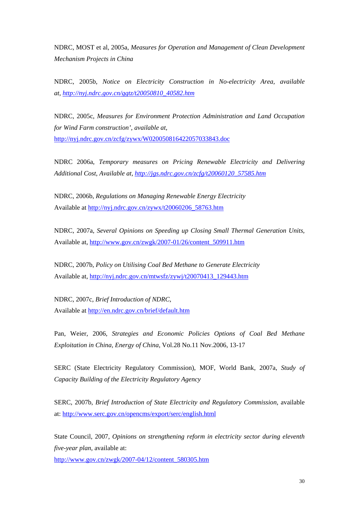NDRC, MOST et al, 2005a, *Measures for Operation and Management of Clean Development Mechanism Projects in China*

NDRC, 2005b, *Notice on Electricity Construction in No-electricity Area, available at, [http://nyj.ndrc.gov.cn/ggtz/t20050810\\_40582.htm](http://nyj.ndrc.gov.cn/ggtz/t20050810_40582.htm)*

NDRC, 2005c, *Measures for Environment Protection Administration and Land Occupation for Wind Farm construction', available at,*  <http://nyj.ndrc.gov.cn/zcfg/zywx/W020050816422057033843.doc>

NDRC 2006a, *Temporary measures on Pricing Renewable Electricity and Delivering Additional Cost, Available at, [http://jgs.ndrc.gov.cn/zcfg/t20060120\\_57585.htm](http://jgs.ndrc.gov.cn/zcfg/t20060120_57585.htm)*

NDRC, 2006b, *Regulations on Managing Renewable Energy Electricity* Available at [http://nyj.ndrc.gov.cn/zywx/t20060206\\_58763.htm](http://nyj.ndrc.gov.cn/zywx/t20060206_58763.htm)

NDRC, 2007a, *Several Opinions on Speeding up Closing Small Thermal Generation Units,*  Available at, [http://www.gov.cn/zwgk/2007-01/26/content\\_509911.htm](http://www.gov.cn/zwgk/2007-01/26/content_509911.htm)

NDRC, 2007b, *Policy on Utilising Coal Bed Methane to Generate Electricity* Available at, [http://nyj.ndrc.gov.cn/mtwsfz/zywj/t20070413\\_129443.htm](http://nyj.ndrc.gov.cn/mtwsfz/zywj/t20070413_129443.htm)

NDRC, 2007c, *Brief Introduction of NDRC*, Available at<http://en.ndrc.gov.cn/brief/default.htm>

Pan, Weier, 2006, *Strategies and Economic Policies Options of Coal Bed Methane Exploitation in China, Energy of China*, Vol.28 No.11 Nov.2006, 13-17

SERC (State Electricity Regulatory Commission), MOF, World Bank, 2007a, *Study of Capacity Building of the Electricity Regulatory Agency*

SERC, 2007b, *Brief Introduction of State Electricity and Regulatory Commission*, available at: [http://www.serc.gov.cn/opencms/export/serc/english.htm](http://www.serc.gov.cn/opencms/export/serc/english.html)l

State Council, 2007, *Opinions on strengthening reform in electricity sector during eleventh five-year plan*, available at:

[http://www.gov.cn/zwgk/2007-04/12/content\\_580305.htm](http://www.gov.cn/zwgk/2007-04/12/content_580305.htm)